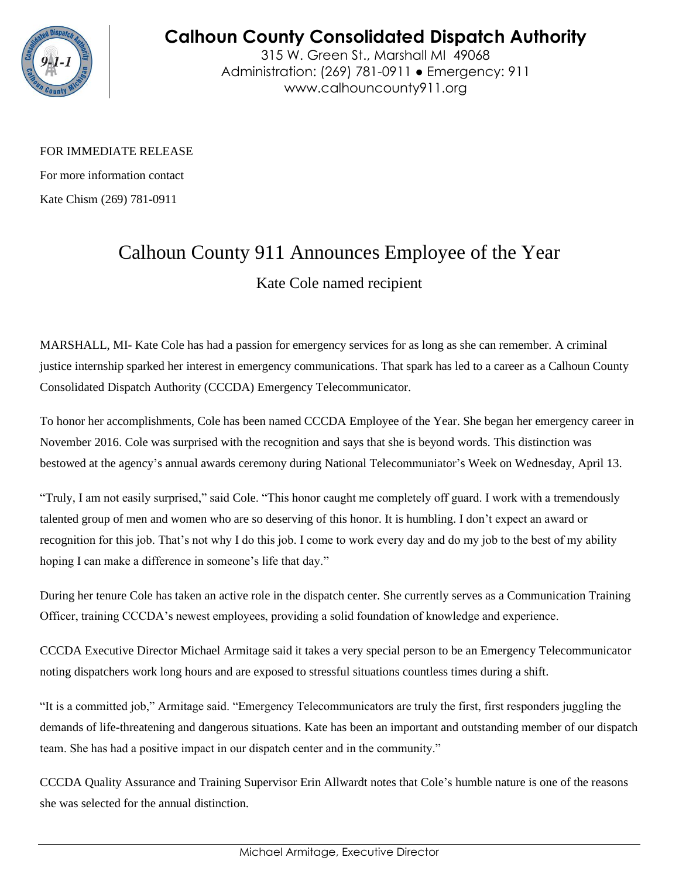

## **Calhoun County Consolidated Dispatch Authority**

315 W. Green St., Marshall MI 49068 Administration: (269) 781-0911 ● Emergency: 911 www.calhouncounty911.org

FOR IMMEDIATE RELEASE

For more information contact Kate Chism (269) 781-0911

## Calhoun County 911 Announces Employee of the Year

Kate Cole named recipient

MARSHALL, MI- Kate Cole has had a passion for emergency services for as long as she can remember. A criminal justice internship sparked her interest in emergency communications. That spark has led to a career as a Calhoun County Consolidated Dispatch Authority (CCCDA) Emergency Telecommunicator.

To honor her accomplishments, Cole has been named CCCDA Employee of the Year. She began her emergency career in November 2016. Cole was surprised with the recognition and says that she is beyond words. This distinction was bestowed at the agency's annual awards ceremony during National Telecommuniator's Week on Wednesday, April 13.

"Truly, I am not easily surprised," said Cole. "This honor caught me completely off guard. I work with a tremendously talented group of men and women who are so deserving of this honor. It is humbling. I don't expect an award or recognition for this job. That's not why I do this job. I come to work every day and do my job to the best of my ability hoping I can make a difference in someone's life that day."

During her tenure Cole has taken an active role in the dispatch center. She currently serves as a Communication Training Officer, training CCCDA's newest employees, providing a solid foundation of knowledge and experience.

CCCDA Executive Director Michael Armitage said it takes a very special person to be an Emergency Telecommunicator noting dispatchers work long hours and are exposed to stressful situations countless times during a shift.

"It is a committed job," Armitage said. "Emergency Telecommunicators are truly the first, first responders juggling the demands of life-threatening and dangerous situations. Kate has been an important and outstanding member of our dispatch team. She has had a positive impact in our dispatch center and in the community."

CCCDA Quality Assurance and Training Supervisor Erin Allwardt notes that Cole's humble nature is one of the reasons she was selected for the annual distinction.